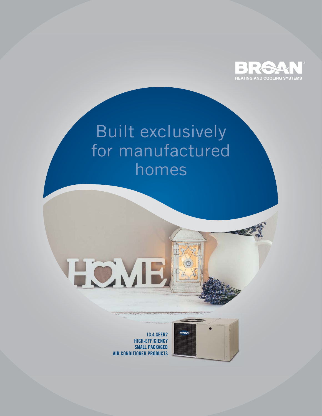

# Built exclusively for manufactured homes

**HOMB**